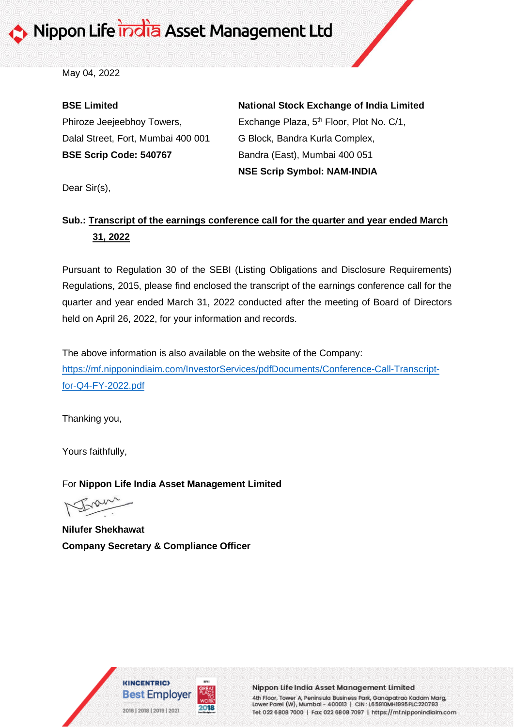May 04, 2022

### **BSE Limited**

Phiroze Jeejeebhoy Towers, Dalal Street, Fort, Mumbai 400 001 **BSE Scrip Code: 540767**

## **National Stock Exchange of India Limited**

Exchange Plaza, 5<sup>th</sup> Floor, Plot No. C/1, G Block, Bandra Kurla Complex, Bandra (East), Mumbai 400 051 **NSE Scrip Symbol: NAM-INDIA**

Dear Sir(s),

## **Sub.: Transcript of the earnings conference call for the quarter and year ended March 31, 2022**

Pursuant to Regulation 30 of the SEBI (Listing Obligations and Disclosure Requirements) Regulations, 2015, please find enclosed the transcript of the earnings conference call for the quarter and year ended March 31, 2022 conducted after the meeting of Board of Directors held on April 26, 2022, for your information and records.

The above information is also available on the website of the Company: [https://mf.nipponindiaim.com/InvestorServices/pdfDocuments/Conference-Call-Transcript](https://mf.nipponindiaim.com/InvestorServices/pdfDocuments/Conference-Call-Transcript-for-Q4-FY-2022.pdf)[for-Q4-FY-2022.pdf](https://mf.nipponindiaim.com/InvestorServices/pdfDocuments/Conference-Call-Transcript-for-Q4-FY-2022.pdf)

Thanking you,

Yours faithfully,

For **Nippon Life India Asset Management Limited**

**Nilufer Shekhawat Company Secretary & Compliance Officer**





Nippon Life India Asset Management Limited

4th Floor, Tower A, Peninsula Business Park, Ganapatrao Kadam Marg, Lower Parel (W), Mumbai - 400013 | CIN: L65910MH1995PLC220793 Tel: 022 6808 7000 | Fax 022 6808 7097 | https://mf.nipponindiaim.com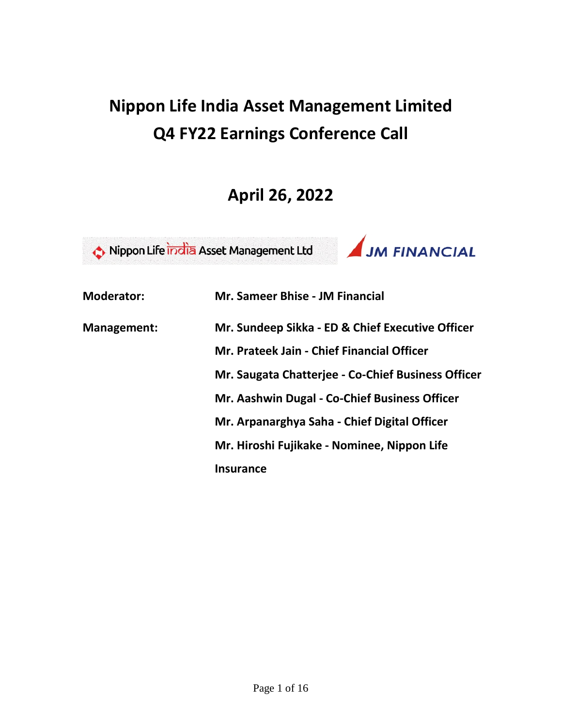# **Nippon Life India Asset Management Limited Q4 FY22 Earnings Conference Call**

## **April 26, 2022**



| <b>Moderator:</b>  | <b>Mr. Sameer Bhise - JM Financial</b>             |
|--------------------|----------------------------------------------------|
| <b>Management:</b> | Mr. Sundeep Sikka - ED & Chief Executive Officer   |
|                    | Mr. Prateek Jain - Chief Financial Officer         |
|                    | Mr. Saugata Chatterjee - Co-Chief Business Officer |
|                    | Mr. Aashwin Dugal - Co-Chief Business Officer      |
|                    | Mr. Arpanarghya Saha - Chief Digital Officer       |
|                    | Mr. Hiroshi Fujikake - Nominee, Nippon Life        |
|                    | <b>Insurance</b>                                   |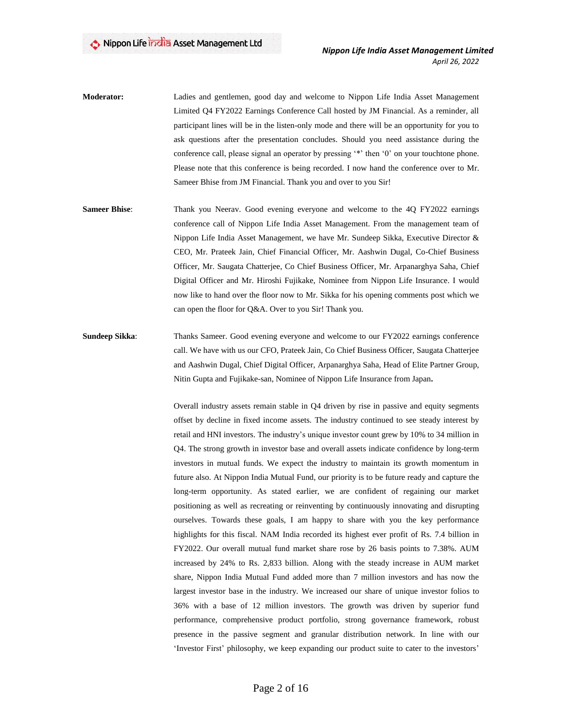- **Moderator:** Ladies and gentlemen, good day and welcome to Nippon Life India Asset Management Limited Q4 FY2022 Earnings Conference Call hosted by JM Financial. As a reminder, all participant lines will be in the listen-only mode and there will be an opportunity for you to ask questions after the presentation concludes. Should you need assistance during the conference call, please signal an operator by pressing '\*' then '0' on your touchtone phone. Please note that this conference is being recorded. I now hand the conference over to Mr. Sameer Bhise from JM Financial. Thank you and over to you Sir!
- **Sameer Bhise**: Thank you Neerav. Good evening everyone and welcome to the 4Q FY2022 earnings conference call of Nippon Life India Asset Management. From the management team of Nippon Life India Asset Management, we have Mr. Sundeep Sikka, Executive Director & CEO, Mr. Prateek Jain, Chief Financial Officer, Mr. Aashwin Dugal, Co-Chief Business Officer, Mr. Saugata Chatterjee, Co Chief Business Officer, Mr. Arpanarghya Saha, Chief Digital Officer and Mr. Hiroshi Fujikake, Nominee from Nippon Life Insurance. I would now like to hand over the floor now to Mr. Sikka for his opening comments post which we can open the floor for Q&A. Over to you Sir! Thank you.
- **Sundeep Sikka:** Thanks Sameer. Good evening everyone and welcome to our FY2022 earnings conference call. We have with us our CFO, Prateek Jain, Co Chief Business Officer, Saugata Chatterjee and Aashwin Dugal, Chief Digital Officer, Arpanarghya Saha, Head of Elite Partner Group, Nitin Gupta and Fujikake-san, Nominee of Nippon Life Insurance from Japan**.**

Overall industry assets remain stable in Q4 driven by rise in passive and equity segments offset by decline in fixed income assets. The industry continued to see steady interest by retail and HNI investors. The industry's unique investor count grew by 10% to 34 million in Q4. The strong growth in investor base and overall assets indicate confidence by long-term investors in mutual funds. We expect the industry to maintain its growth momentum in future also. At Nippon India Mutual Fund, our priority is to be future ready and capture the long-term opportunity. As stated earlier, we are confident of regaining our market positioning as well as recreating or reinventing by continuously innovating and disrupting ourselves. Towards these goals, I am happy to share with you the key performance highlights for this fiscal. NAM India recorded its highest ever profit of Rs. 7.4 billion in FY2022. Our overall mutual fund market share rose by 26 basis points to 7.38%. AUM increased by 24% to Rs. 2,833 billion. Along with the steady increase in AUM market share, Nippon India Mutual Fund added more than 7 million investors and has now the largest investor base in the industry. We increased our share of unique investor folios to 36% with a base of 12 million investors. The growth was driven by superior fund performance, comprehensive product portfolio, strong governance framework, robust presence in the passive segment and granular distribution network. In line with our 'Investor First' philosophy, we keep expanding our product suite to cater to the investors'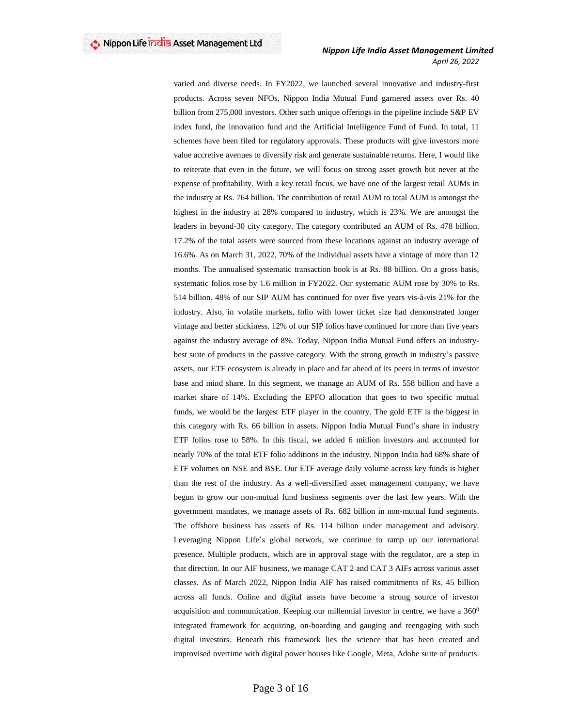varied and diverse needs. In FY2022, we launched several innovative and industry-first products. Across seven NFOs, Nippon India Mutual Fund garnered assets over Rs. 40 billion from 275,000 investors. Other such unique offerings in the pipeline include S&P EV index fund, the innovation fund and the Artificial Intelligence Fund of Fund. In total, 11 schemes have been filed for regulatory approvals. These products will give investors more value accretive avenues to diversify risk and generate sustainable returns. Here, I would like to reiterate that even in the future, we will focus on strong asset growth but never at the expense of profitability. With a key retail focus, we have one of the largest retail AUMs in the industry at Rs. 764 billion. The contribution of retail AUM to total AUM is amongst the highest in the industry at 28% compared to industry, which is 23%. We are amongst the leaders in beyond-30 city category. The category contributed an AUM of Rs. 478 billion. 17.2% of the total assets were sourced from these locations against an industry average of 16.6%. As on March 31, 2022, 70% of the individual assets have a vintage of more than 12 months. The annualised systematic transaction book is at Rs. 88 billion. On a gross basis, systematic folios rose by 1.6 million in FY2022. Our systematic AUM rose by 30% to Rs. 514 billion. 48% of our SIP AUM has continued for over five years vis-à-vis 21% for the industry. Also, in volatile markets, folio with lower ticket size had demonstrated longer vintage and better stickiness. 12% of our SIP folios have continued for more than five years against the industry average of 8%. Today, Nippon India Mutual Fund offers an industrybest suite of products in the passive category. With the strong growth in industry's passive assets, our ETF ecosystem is already in place and far ahead of its peers in terms of investor base and mind share. In this segment, we manage an AUM of Rs. 558 billion and have a market share of 14%. Excluding the EPFO allocation that goes to two specific mutual funds, we would be the largest ETF player in the country. The gold ETF is the biggest in this category with Rs. 66 billion in assets. Nippon India Mutual Fund's share in industry ETF folios rose to 58%. In this fiscal, we added 6 million investors and accounted for nearly 70% of the total ETF folio additions in the industry. Nippon India had 68% share of ETF volumes on NSE and BSE. Our ETF average daily volume across key funds is higher than the rest of the industry. As a well-diversified asset management company, we have begun to grow our non-mutual fund business segments over the last few years. With the government mandates, we manage assets of Rs. 682 billion in non-mutual fund segments. The offshore business has assets of Rs. 114 billion under management and advisory. Leveraging Nippon Life's global network, we continue to ramp up our international presence. Multiple products, which are in approval stage with the regulator, are a step in that direction. In our AIF business, we manage CAT 2 and CAT 3 AIFs across various asset classes. As of March 2022, Nippon India AIF has raised commitments of Rs. 45 billion across all funds. Online and digital assets have become a strong source of investor acquisition and communication. Keeping our millennial investor in centre, we have a  $360^{\circ}$ integrated framework for acquiring, on-boarding and gauging and reengaging with such digital investors. Beneath this framework lies the science that has been created and improvised overtime with digital power houses like Google, Meta, Adobe suite of products.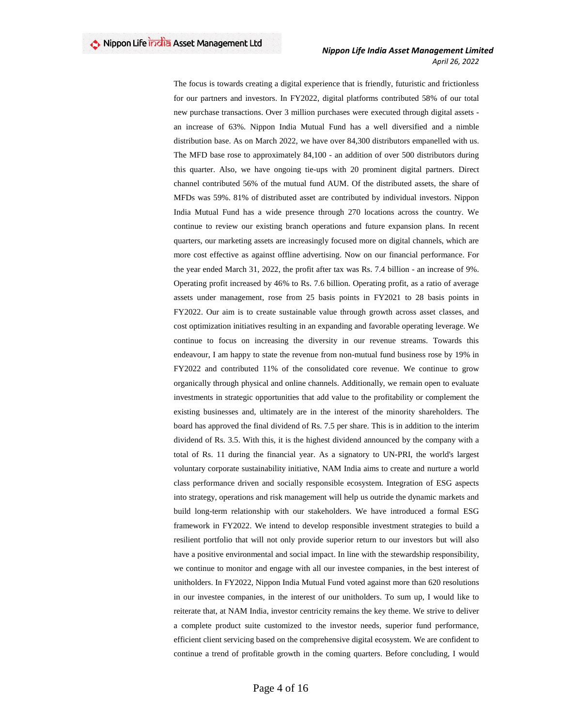The focus is towards creating a digital experience that is friendly, futuristic and frictionless for our partners and investors. In FY2022, digital platforms contributed 58% of our total new purchase transactions. Over 3 million purchases were executed through digital assets an increase of 63%. Nippon India Mutual Fund has a well diversified and a nimble distribution base. As on March 2022, we have over 84,300 distributors empanelled with us. The MFD base rose to approximately 84,100 - an addition of over 500 distributors during this quarter. Also, we have ongoing tie-ups with 20 prominent digital partners. Direct channel contributed 56% of the mutual fund AUM. Of the distributed assets, the share of MFDs was 59%. 81% of distributed asset are contributed by individual investors. Nippon India Mutual Fund has a wide presence through 270 locations across the country. We continue to review our existing branch operations and future expansion plans. In recent quarters, our marketing assets are increasingly focused more on digital channels, which are more cost effective as against offline advertising. Now on our financial performance. For the year ended March 31, 2022, the profit after tax was Rs. 7.4 billion - an increase of 9%. Operating profit increased by 46% to Rs. 7.6 billion. Operating profit, as a ratio of average assets under management, rose from 25 basis points in FY2021 to 28 basis points in FY2022. Our aim is to create sustainable value through growth across asset classes, and cost optimization initiatives resulting in an expanding and favorable operating leverage. We continue to focus on increasing the diversity in our revenue streams. Towards this endeavour, I am happy to state the revenue from non-mutual fund business rose by 19% in FY2022 and contributed 11% of the consolidated core revenue. We continue to grow organically through physical and online channels. Additionally, we remain open to evaluate investments in strategic opportunities that add value to the profitability or complement the existing businesses and, ultimately are in the interest of the minority shareholders. The board has approved the final dividend of Rs. 7.5 per share. This is in addition to the interim dividend of Rs. 3.5. With this, it is the highest dividend announced by the company with a total of Rs. 11 during the financial year. As a signatory to UN-PRI, the world's largest voluntary corporate sustainability initiative, NAM India aims to create and nurture a world class performance driven and socially responsible ecosystem. Integration of ESG aspects into strategy, operations and risk management will help us outride the dynamic markets and build long-term relationship with our stakeholders. We have introduced a formal ESG framework in FY2022. We intend to develop responsible investment strategies to build a resilient portfolio that will not only provide superior return to our investors but will also have a positive environmental and social impact. In line with the stewardship responsibility, we continue to monitor and engage with all our investee companies, in the best interest of unitholders. In FY2022, Nippon India Mutual Fund voted against more than 620 resolutions in our investee companies, in the interest of our unitholders. To sum up, I would like to reiterate that, at NAM India, investor centricity remains the key theme. We strive to deliver a complete product suite customized to the investor needs, superior fund performance, efficient client servicing based on the comprehensive digital ecosystem. We are confident to continue a trend of profitable growth in the coming quarters. Before concluding, I would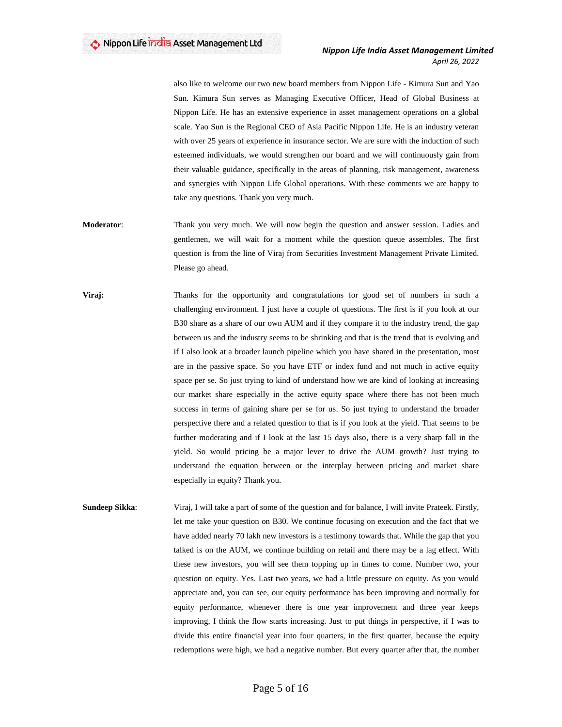also like to welcome our two new board members from Nippon Life - Kimura Sun and Yao Sun. Kimura Sun serves as Managing Executive Officer, Head of Global Business at Nippon Life. He has an extensive experience in asset management operations on a global scale. Yao Sun is the Regional CEO of Asia Pacific Nippon Life. He is an industry veteran with over 25 years of experience in insurance sector. We are sure with the induction of such esteemed individuals, we would strengthen our board and we will continuously gain from their valuable guidance, specifically in the areas of planning, risk management, awareness and synergies with Nippon Life Global operations. With these comments we are happy to take any questions. Thank you very much.

- **Moderator**: Thank you very much. We will now begin the question and answer session. Ladies and gentlemen, we will wait for a moment while the question queue assembles. The first question is from the line of Viraj from Securities Investment Management Private Limited. Please go ahead.
- **Viraj:** Thanks for the opportunity and congratulations for good set of numbers in such a challenging environment. I just have a couple of questions. The first is if you look at our B30 share as a share of our own AUM and if they compare it to the industry trend, the gap between us and the industry seems to be shrinking and that is the trend that is evolving and if I also look at a broader launch pipeline which you have shared in the presentation, most are in the passive space. So you have ETF or index fund and not much in active equity space per se. So just trying to kind of understand how we are kind of looking at increasing our market share especially in the active equity space where there has not been much success in terms of gaining share per se for us. So just trying to understand the broader perspective there and a related question to that is if you look at the yield. That seems to be further moderating and if I look at the last 15 days also, there is a very sharp fall in the yield. So would pricing be a major lever to drive the AUM growth? Just trying to understand the equation between or the interplay between pricing and market share especially in equity? Thank you.
- **Sundeep Sikka**: Viraj, I will take a part of some of the question and for balance, I will invite Prateek. Firstly, let me take your question on B30. We continue focusing on execution and the fact that we have added nearly 70 lakh new investors is a testimony towards that. While the gap that you talked is on the AUM, we continue building on retail and there may be a lag effect. With these new investors, you will see them topping up in times to come. Number two, your question on equity. Yes. Last two years, we had a little pressure on equity. As you would appreciate and, you can see, our equity performance has been improving and normally for equity performance, whenever there is one year improvement and three year keeps improving, I think the flow starts increasing. Just to put things in perspective, if I was to divide this entire financial year into four quarters, in the first quarter, because the equity redemptions were high, we had a negative number. But every quarter after that, the number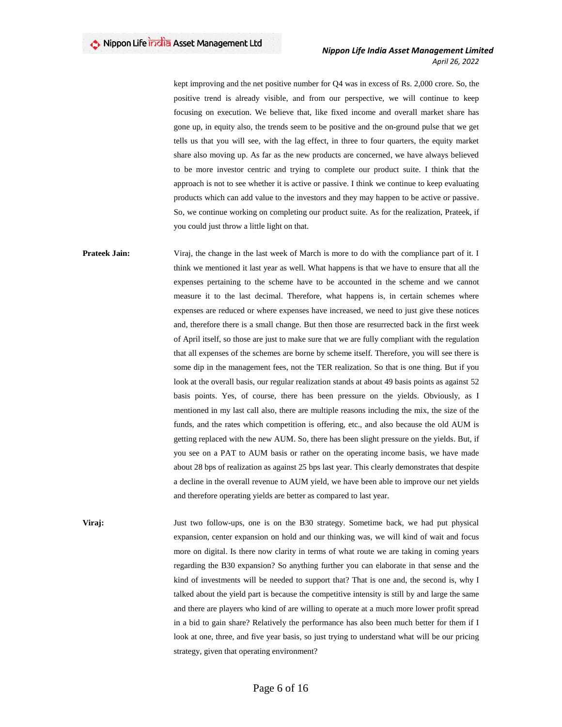kept improving and the net positive number for Q4 was in excess of Rs. 2,000 crore. So, the positive trend is already visible, and from our perspective, we will continue to keep focusing on execution. We believe that, like fixed income and overall market share has gone up, in equity also, the trends seem to be positive and the on-ground pulse that we get tells us that you will see, with the lag effect, in three to four quarters, the equity market share also moving up. As far as the new products are concerned, we have always believed to be more investor centric and trying to complete our product suite. I think that the approach is not to see whether it is active or passive. I think we continue to keep evaluating products which can add value to the investors and they may happen to be active or passive. So, we continue working on completing our product suite. As for the realization, Prateek, if you could just throw a little light on that.

**Prateek Jain:** Viraj, the change in the last week of March is more to do with the compliance part of it. I think we mentioned it last year as well. What happens is that we have to ensure that all the expenses pertaining to the scheme have to be accounted in the scheme and we cannot measure it to the last decimal. Therefore, what happens is, in certain schemes where expenses are reduced or where expenses have increased, we need to just give these notices and, therefore there is a small change. But then those are resurrected back in the first week of April itself, so those are just to make sure that we are fully compliant with the regulation that all expenses of the schemes are borne by scheme itself. Therefore, you will see there is some dip in the management fees, not the TER realization. So that is one thing. But if you look at the overall basis, our regular realization stands at about 49 basis points as against 52 basis points. Yes, of course, there has been pressure on the yields. Obviously, as I mentioned in my last call also, there are multiple reasons including the mix, the size of the funds, and the rates which competition is offering, etc., and also because the old AUM is getting replaced with the new AUM. So, there has been slight pressure on the yields. But, if you see on a PAT to AUM basis or rather on the operating income basis, we have made about 28 bps of realization as against 25 bps last year. This clearly demonstrates that despite a decline in the overall revenue to AUM yield, we have been able to improve our net yields and therefore operating yields are better as compared to last year.

**Viraj:** Just two follow-ups, one is on the B30 strategy. Sometime back, we had put physical expansion, center expansion on hold and our thinking was, we will kind of wait and focus more on digital. Is there now clarity in terms of what route we are taking in coming years regarding the B30 expansion? So anything further you can elaborate in that sense and the kind of investments will be needed to support that? That is one and, the second is, why I talked about the yield part is because the competitive intensity is still by and large the same and there are players who kind of are willing to operate at a much more lower profit spread in a bid to gain share? Relatively the performance has also been much better for them if I look at one, three, and five year basis, so just trying to understand what will be our pricing strategy, given that operating environment?

#### Page 6 of 16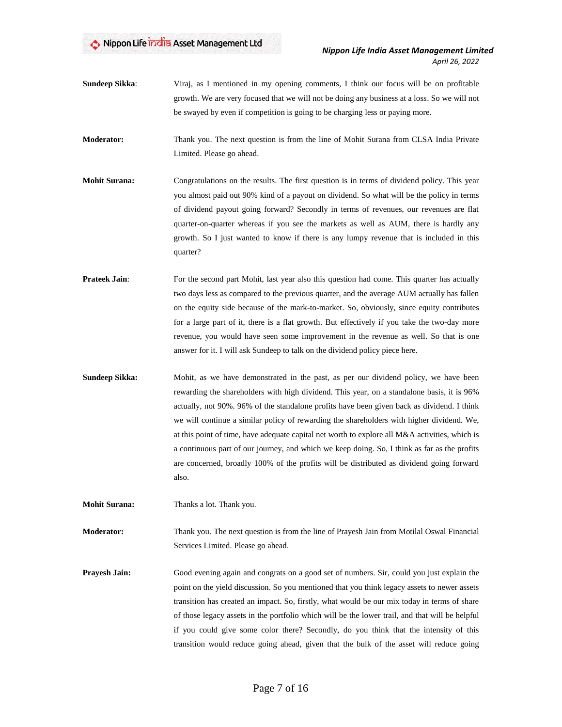**Sundeep Sikka**: Viraj, as I mentioned in my opening comments, I think our focus will be on profitable growth. We are very focused that we will not be doing any business at a loss. So we will not be swayed by even if competition is going to be charging less or paying more.

**Moderator:** Thank you. The next question is from the line of Mohit Surana from CLSA India Private Limited. Please go ahead.

- **Mohit Surana:** Congratulations on the results. The first question is in terms of dividend policy. This year you almost paid out 90% kind of a payout on dividend. So what will be the policy in terms of dividend payout going forward? Secondly in terms of revenues, our revenues are flat quarter-on-quarter whereas if you see the markets as well as AUM, there is hardly any growth. So I just wanted to know if there is any lumpy revenue that is included in this quarter?
- **Prateek Jain:** For the second part Mohit, last year also this question had come. This quarter has actually two days less as compared to the previous quarter, and the average AUM actually has fallen on the equity side because of the mark-to-market. So, obviously, since equity contributes for a large part of it, there is a flat growth. But effectively if you take the two-day more revenue, you would have seen some improvement in the revenue as well. So that is one answer for it. I will ask Sundeep to talk on the dividend policy piece here.
- **Sundeep Sikka:** Mohit, as we have demonstrated in the past, as per our dividend policy, we have been rewarding the shareholders with high dividend. This year, on a standalone basis, it is 96% actually, not 90%. 96% of the standalone profits have been given back as dividend. I think we will continue a similar policy of rewarding the shareholders with higher dividend. We, at this point of time, have adequate capital net worth to explore all M&A activities, which is a continuous part of our journey, and which we keep doing. So, I think as far as the profits are concerned, broadly 100% of the profits will be distributed as dividend going forward also.

**Mohit Surana:** Thanks a lot. Thank you.

**Moderator:** Thank you. The next question is from the line of Prayesh Jain from Motilal Oswal Financial Services Limited. Please go ahead.

**Prayesh Jain:** Good evening again and congrats on a good set of numbers. Sir, could you just explain the point on the yield discussion. So you mentioned that you think legacy assets to newer assets transition has created an impact. So, firstly, what would be our mix today in terms of share of those legacy assets in the portfolio which will be the lower trail, and that will be helpful if you could give some color there? Secondly, do you think that the intensity of this transition would reduce going ahead, given that the bulk of the asset will reduce going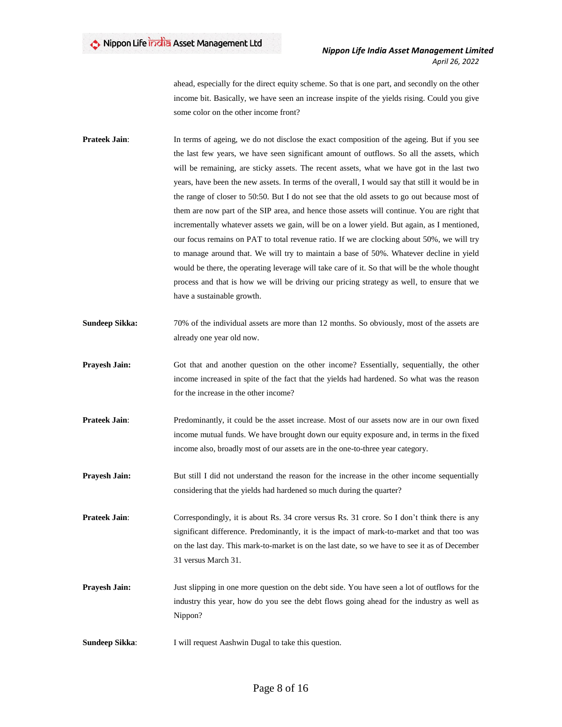ahead, especially for the direct equity scheme. So that is one part, and secondly on the other income bit. Basically, we have seen an increase inspite of the yields rising. Could you give some color on the other income front?

- **Prateek Jain:** In terms of ageing, we do not disclose the exact composition of the ageing. But if you see the last few years, we have seen significant amount of outflows. So all the assets, which will be remaining, are sticky assets. The recent assets, what we have got in the last two years, have been the new assets. In terms of the overall, I would say that still it would be in the range of closer to 50:50. But I do not see that the old assets to go out because most of them are now part of the SIP area, and hence those assets will continue. You are right that incrementally whatever assets we gain, will be on a lower yield. But again, as I mentioned, our focus remains on PAT to total revenue ratio. If we are clocking about 50%, we will try to manage around that. We will try to maintain a base of 50%. Whatever decline in yield would be there, the operating leverage will take care of it. So that will be the whole thought process and that is how we will be driving our pricing strategy as well, to ensure that we have a sustainable growth.
- **Sundeep Sikka:** 70% of the individual assets are more than 12 months. So obviously, most of the assets are already one year old now.
- **Prayesh Jain:** Got that and another question on the other income? Essentially, sequentially, the other income increased in spite of the fact that the yields had hardened. So what was the reason for the increase in the other income?
- **Prateek Jain:** Predominantly, it could be the asset increase. Most of our assets now are in our own fixed income mutual funds. We have brought down our equity exposure and, in terms in the fixed income also, broadly most of our assets are in the one-to-three year category.
- **Prayesh Jain:** But still I did not understand the reason for the increase in the other income sequentially considering that the yields had hardened so much during the quarter?

**Prateek Jain:** Correspondingly, it is about Rs. 34 crore versus Rs. 31 crore. So I don't think there is any significant difference. Predominantly, it is the impact of mark-to-market and that too was on the last day. This mark-to-market is on the last date, so we have to see it as of December 31 versus March 31.

- **Prayesh Jain:** Just slipping in one more question on the debt side. You have seen a lot of outflows for the industry this year, how do you see the debt flows going ahead for the industry as well as Nippon?
- **Sundeep Sikka:** I will request Aashwin Dugal to take this question.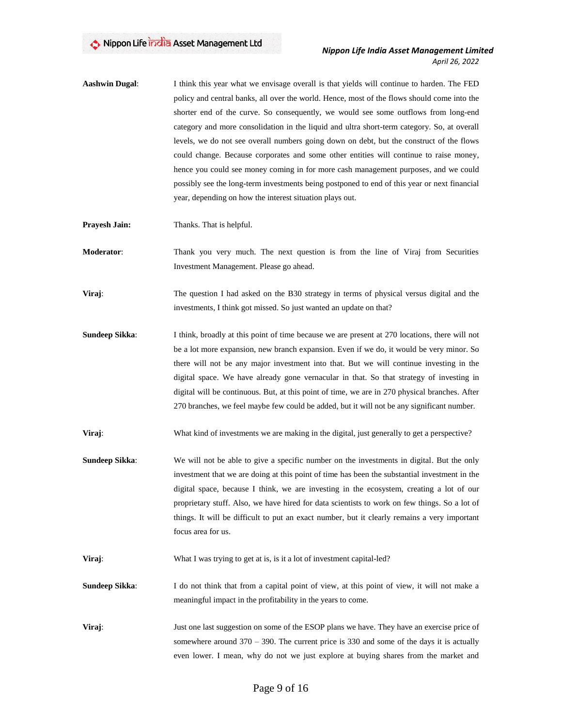- **Aashwin Dugal**: I think this year what we envisage overall is that yields will continue to harden. The FED policy and central banks, all over the world. Hence, most of the flows should come into the shorter end of the curve. So consequently, we would see some outflows from long-end category and more consolidation in the liquid and ultra short-term category. So, at overall levels, we do not see overall numbers going down on debt, but the construct of the flows could change. Because corporates and some other entities will continue to raise money, hence you could see money coming in for more cash management purposes, and we could possibly see the long-term investments being postponed to end of this year or next financial year, depending on how the interest situation plays out.
- **Prayesh Jain:** Thanks. That is helpful.
- **Moderator**: Thank you very much. The next question is from the line of Viraj from Securities Investment Management. Please go ahead.
- **Viraj:** The question I had asked on the B30 strategy in terms of physical versus digital and the investments, I think got missed. So just wanted an update on that?
- **Sundeep Sikka:** I think, broadly at this point of time because we are present at 270 locations, there will not be a lot more expansion, new branch expansion. Even if we do, it would be very minor. So there will not be any major investment into that. But we will continue investing in the digital space. We have already gone vernacular in that. So that strategy of investing in digital will be continuous. But, at this point of time, we are in 270 physical branches. After 270 branches, we feel maybe few could be added, but it will not be any significant number.
- **Viraj:** What kind of investments we are making in the digital, just generally to get a perspective?
- **Sundeep Sikka**: We will not be able to give a specific number on the investments in digital. But the only investment that we are doing at this point of time has been the substantial investment in the digital space, because I think, we are investing in the ecosystem, creating a lot of our proprietary stuff. Also, we have hired for data scientists to work on few things. So a lot of things. It will be difficult to put an exact number, but it clearly remains a very important focus area for us.
- **Viraj:** What I was trying to get at is, is it a lot of investment capital-led?
- **Sundeep Sikka:** I do not think that from a capital point of view, at this point of view, it will not make a meaningful impact in the profitability in the years to come.
- **Viraj:** Just one last suggestion on some of the ESOP plans we have. They have an exercise price of somewhere around 370 – 390. The current price is 330 and some of the days it is actually even lower. I mean, why do not we just explore at buying shares from the market and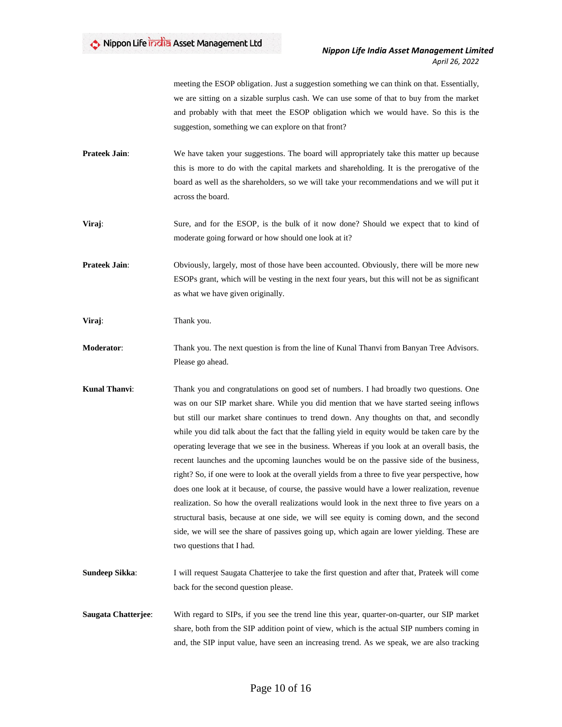meeting the ESOP obligation. Just a suggestion something we can think on that. Essentially, we are sitting on a sizable surplus cash. We can use some of that to buy from the market and probably with that meet the ESOP obligation which we would have. So this is the suggestion, something we can explore on that front?

- **Prateek Jain:** We have taken your suggestions. The board will appropriately take this matter up because this is more to do with the capital markets and shareholding. It is the prerogative of the board as well as the shareholders, so we will take your recommendations and we will put it across the board.
- **Viraj:** Sure, and for the ESOP, is the bulk of it now done? Should we expect that to kind of moderate going forward or how should one look at it?

**Prateek Jain:** Obviously, largely, most of those have been accounted. Obviously, there will be more new ESOPs grant, which will be vesting in the next four years, but this will not be as significant as what we have given originally.

**Viraj**: Thank you.

- **Moderator**: Thank you. The next question is from the line of Kunal Thanvi from Banyan Tree Advisors. Please go ahead.
- **Kunal Thanvi**: Thank you and congratulations on good set of numbers. I had broadly two questions. One was on our SIP market share. While you did mention that we have started seeing inflows but still our market share continues to trend down. Any thoughts on that, and secondly while you did talk about the fact that the falling yield in equity would be taken care by the operating leverage that we see in the business. Whereas if you look at an overall basis, the recent launches and the upcoming launches would be on the passive side of the business, right? So, if one were to look at the overall yields from a three to five year perspective, how does one look at it because, of course, the passive would have a lower realization, revenue realization. So how the overall realizations would look in the next three to five years on a structural basis, because at one side, we will see equity is coming down, and the second side, we will see the share of passives going up, which again are lower yielding. These are two questions that I had.
- **Sundeep Sikka:** I will request Saugata Chatterjee to take the first question and after that, Prateek will come back for the second question please.
- **Saugata Chatterjee**: With regard to SIPs, if you see the trend line this year, quarter-on-quarter, our SIP market share, both from the SIP addition point of view, which is the actual SIP numbers coming in and, the SIP input value, have seen an increasing trend. As we speak, we are also tracking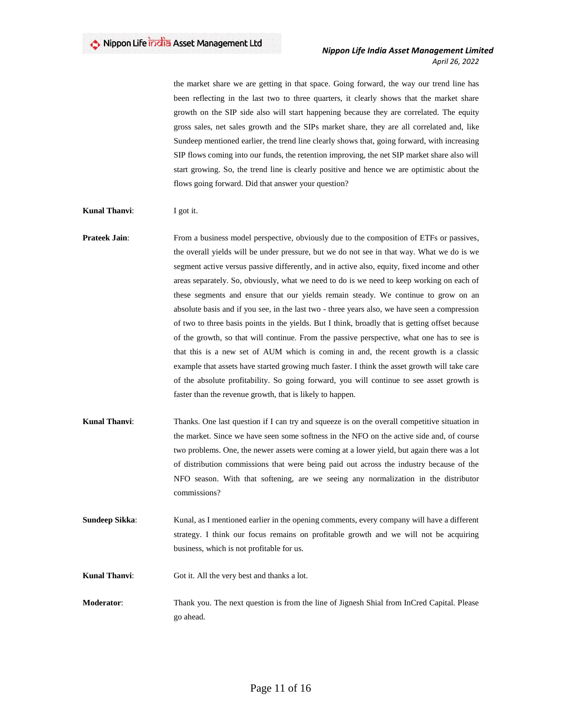the market share we are getting in that space. Going forward, the way our trend line has been reflecting in the last two to three quarters, it clearly shows that the market share growth on the SIP side also will start happening because they are correlated. The equity gross sales, net sales growth and the SIPs market share, they are all correlated and, like Sundeep mentioned earlier, the trend line clearly shows that, going forward, with increasing SIP flows coming into our funds, the retention improving, the net SIP market share also will start growing. So, the trend line is clearly positive and hence we are optimistic about the flows going forward. Did that answer your question?

#### **Kunal Thanvi:** I got it.

### **Prateek Jain:** From a business model perspective, obviously due to the composition of ETFs or passives, the overall yields will be under pressure, but we do not see in that way. What we do is we segment active versus passive differently, and in active also, equity, fixed income and other areas separately. So, obviously, what we need to do is we need to keep working on each of these segments and ensure that our yields remain steady. We continue to grow on an absolute basis and if you see, in the last two - three years also, we have seen a compression of two to three basis points in the yields. But I think, broadly that is getting offset because of the growth, so that will continue. From the passive perspective, what one has to see is that this is a new set of AUM which is coming in and, the recent growth is a classic example that assets have started growing much faster. I think the asset growth will take care of the absolute profitability. So going forward, you will continue to see asset growth is faster than the revenue growth, that is likely to happen.

- **Kunal Thanvi:** Thanks. One last question if I can try and squeeze is on the overall competitive situation in the market. Since we have seen some softness in the NFO on the active side and, of course two problems. One, the newer assets were coming at a lower yield, but again there was a lot of distribution commissions that were being paid out across the industry because of the NFO season. With that softening, are we seeing any normalization in the distributor commissions?
- **Sundeep Sikka:** Kunal, as I mentioned earlier in the opening comments, every company will have a different strategy. I think our focus remains on profitable growth and we will not be acquiring business, which is not profitable for us.
- **Kunal Thanvi:** Got it. All the very best and thanks a lot.
- **Moderator:** Thank you. The next question is from the line of Jignesh Shial from InCred Capital. Please go ahead.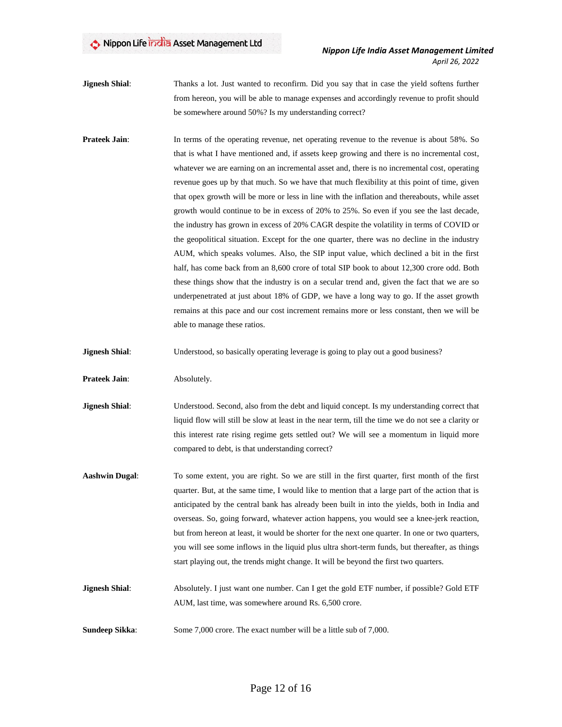- **Jignesh Shial**: Thanks a lot. Just wanted to reconfirm. Did you say that in case the yield softens further from hereon, you will be able to manage expenses and accordingly revenue to profit should be somewhere around 50%? Is my understanding correct?
- **Prateek Jain:** In terms of the operating revenue, net operating revenue to the revenue is about 58%. So that is what I have mentioned and, if assets keep growing and there is no incremental cost, whatever we are earning on an incremental asset and, there is no incremental cost, operating revenue goes up by that much. So we have that much flexibility at this point of time, given that opex growth will be more or less in line with the inflation and thereabouts, while asset growth would continue to be in excess of 20% to 25%. So even if you see the last decade, the industry has grown in excess of 20% CAGR despite the volatility in terms of COVID or the geopolitical situation. Except for the one quarter, there was no decline in the industry AUM, which speaks volumes. Also, the SIP input value, which declined a bit in the first half, has come back from an 8,600 crore of total SIP book to about 12,300 crore odd. Both these things show that the industry is on a secular trend and, given the fact that we are so underpenetrated at just about 18% of GDP, we have a long way to go. If the asset growth remains at this pace and our cost increment remains more or less constant, then we will be able to manage these ratios.
- **Jignesh Shial**: Understood, so basically operating leverage is going to play out a good business?

**Prateek Jain**: Absolutely.

- **Jignesh Shial**: Understood. Second, also from the debt and liquid concept. Is my understanding correct that liquid flow will still be slow at least in the near term, till the time we do not see a clarity or this interest rate rising regime gets settled out? We will see a momentum in liquid more compared to debt, is that understanding correct?
- **Aashwin Dugal:** To some extent, you are right. So we are still in the first quarter, first month of the first quarter. But, at the same time, I would like to mention that a large part of the action that is anticipated by the central bank has already been built in into the yields, both in India and overseas. So, going forward, whatever action happens, you would see a knee-jerk reaction, but from hereon at least, it would be shorter for the next one quarter. In one or two quarters, you will see some inflows in the liquid plus ultra short-term funds, but thereafter, as things start playing out, the trends might change. It will be beyond the first two quarters.
- **Jignesh Shial**: Absolutely. I just want one number. Can I get the gold ETF number, if possible? Gold ETF AUM, last time, was somewhere around Rs. 6,500 crore.
- **Sundeep Sikka:** Some 7,000 crore. The exact number will be a little sub of 7,000.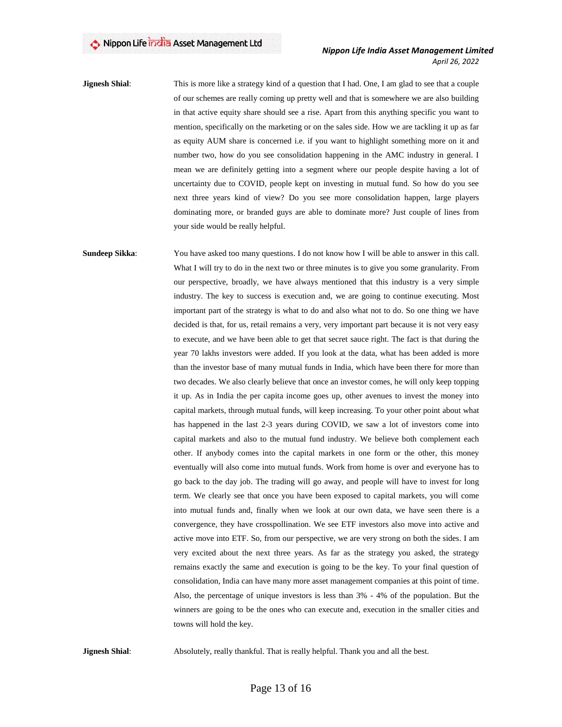**Jignesh Shial**: This is more like a strategy kind of a question that I had. One, I am glad to see that a couple of our schemes are really coming up pretty well and that is somewhere we are also building in that active equity share should see a rise. Apart from this anything specific you want to mention, specifically on the marketing or on the sales side. How we are tackling it up as far as equity AUM share is concerned i.e. if you want to highlight something more on it and number two, how do you see consolidation happening in the AMC industry in general. I mean we are definitely getting into a segment where our people despite having a lot of uncertainty due to COVID, people kept on investing in mutual fund. So how do you see next three years kind of view? Do you see more consolidation happen, large players dominating more, or branded guys are able to dominate more? Just couple of lines from your side would be really helpful.

**Sundeep Sikka:** You have asked too many questions. I do not know how I will be able to answer in this call. What I will try to do in the next two or three minutes is to give you some granularity. From our perspective, broadly, we have always mentioned that this industry is a very simple industry. The key to success is execution and, we are going to continue executing. Most important part of the strategy is what to do and also what not to do. So one thing we have decided is that, for us, retail remains a very, very important part because it is not very easy to execute, and we have been able to get that secret sauce right. The fact is that during the year 70 lakhs investors were added. If you look at the data, what has been added is more than the investor base of many mutual funds in India, which have been there for more than two decades. We also clearly believe that once an investor comes, he will only keep topping it up. As in India the per capita income goes up, other avenues to invest the money into capital markets, through mutual funds, will keep increasing. To your other point about what has happened in the last 2-3 years during COVID, we saw a lot of investors come into capital markets and also to the mutual fund industry. We believe both complement each other. If anybody comes into the capital markets in one form or the other, this money eventually will also come into mutual funds. Work from home is over and everyone has to go back to the day job. The trading will go away, and people will have to invest for long term. We clearly see that once you have been exposed to capital markets, you will come into mutual funds and, finally when we look at our own data, we have seen there is a convergence, they have crosspollination. We see ETF investors also move into active and active move into ETF. So, from our perspective, we are very strong on both the sides. I am very excited about the next three years. As far as the strategy you asked, the strategy remains exactly the same and execution is going to be the key. To your final question of consolidation, India can have many more asset management companies at this point of time. Also, the percentage of unique investors is less than 3% - 4% of the population. But the winners are going to be the ones who can execute and, execution in the smaller cities and towns will hold the key.

**Jignesh Shial**: Absolutely, really thankful. That is really helpful. Thank you and all the best.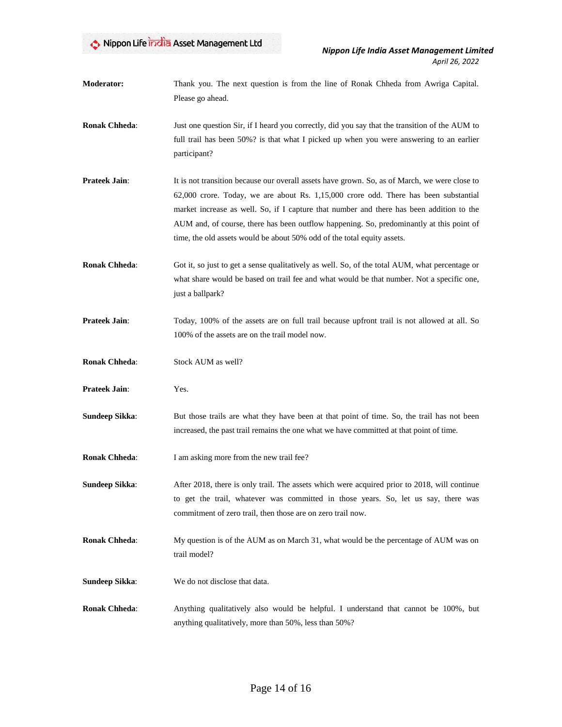**Moderator:** Thank you. The next question is from the line of Ronak Chheda from Awriga Capital. Please go ahead.

- **Ronak Chheda**: Just one question Sir, if I heard you correctly, did you say that the transition of the AUM to full trail has been 50%? is that what I picked up when you were answering to an earlier participant?
- **Prateek Jain:** It is not transition because our overall assets have grown. So, as of March, we were close to 62,000 crore. Today, we are about Rs. 1,15,000 crore odd. There has been substantial market increase as well. So, if I capture that number and there has been addition to the AUM and, of course, there has been outflow happening. So, predominantly at this point of time, the old assets would be about 50% odd of the total equity assets.
- **Ronak Chheda:** Got it, so just to get a sense qualitatively as well. So, of the total AUM, what percentage or what share would be based on trail fee and what would be that number. Not a specific one, just a ballpark?
- **Prateek Jain**: Today, 100% of the assets are on full trail because upfront trail is not allowed at all. So 100% of the assets are on the trail model now.
- **Ronak Chheda**: Stock AUM as well?
- **Prateek Jain**: Yes.
- **Sundeep Sikka:** But those trails are what they have been at that point of time. So, the trail has not been increased, the past trail remains the one what we have committed at that point of time.
- **Ronak Chheda:** I am asking more from the new trail fee?
- **Sundeep Sikka:** After 2018, there is only trail. The assets which were acquired prior to 2018, will continue to get the trail, whatever was committed in those years. So, let us say, there was commitment of zero trail, then those are on zero trail now.
- **Ronak Chheda**: My question is of the AUM as on March 31, what would be the percentage of AUM was on trail model?
- **Sundeep Sikka**: We do not disclose that data.
- **Ronak Chheda**: Anything qualitatively also would be helpful. I understand that cannot be 100%, but anything qualitatively, more than 50%, less than 50%?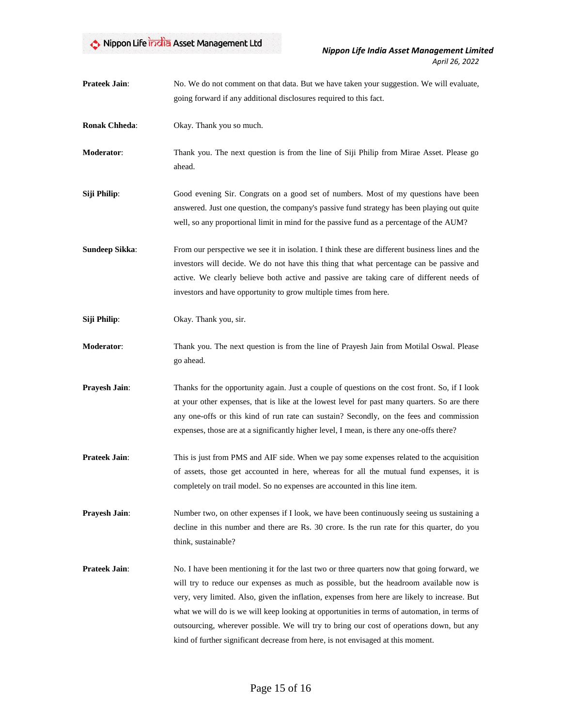| <b>Prateek Jain:</b>  | No. We do not comment on that data. But we have taken your suggestion. We will evaluate,<br>going forward if any additional disclosures required to this fact.                                                                                                                                                                                                                                                                                                                                                                                                          |
|-----------------------|-------------------------------------------------------------------------------------------------------------------------------------------------------------------------------------------------------------------------------------------------------------------------------------------------------------------------------------------------------------------------------------------------------------------------------------------------------------------------------------------------------------------------------------------------------------------------|
| <b>Ronak Chheda:</b>  | Okay. Thank you so much.                                                                                                                                                                                                                                                                                                                                                                                                                                                                                                                                                |
| Moderator:            | Thank you. The next question is from the line of Siji Philip from Mirae Asset. Please go<br>ahead.                                                                                                                                                                                                                                                                                                                                                                                                                                                                      |
| Siji Philip:          | Good evening Sir. Congrats on a good set of numbers. Most of my questions have been<br>answered. Just one question, the company's passive fund strategy has been playing out quite<br>well, so any proportional limit in mind for the passive fund as a percentage of the AUM?                                                                                                                                                                                                                                                                                          |
| <b>Sundeep Sikka:</b> | From our perspective we see it in isolation. I think these are different business lines and the<br>investors will decide. We do not have this thing that what percentage can be passive and<br>active. We clearly believe both active and passive are taking care of different needs of<br>investors and have opportunity to grow multiple times from here.                                                                                                                                                                                                             |
| Siji Philip:          | Okay. Thank you, sir.                                                                                                                                                                                                                                                                                                                                                                                                                                                                                                                                                   |
| <b>Moderator:</b>     | Thank you. The next question is from the line of Prayesh Jain from Motilal Oswal. Please<br>go ahead.                                                                                                                                                                                                                                                                                                                                                                                                                                                                   |
| Prayesh Jain:         | Thanks for the opportunity again. Just a couple of questions on the cost front. So, if I look<br>at your other expenses, that is like at the lowest level for past many quarters. So are there<br>any one-offs or this kind of run rate can sustain? Secondly, on the fees and commission<br>expenses, those are at a significantly higher level, I mean, is there any one-offs there?                                                                                                                                                                                  |
| <b>Prateek Jain:</b>  | This is just from PMS and AIF side. When we pay some expenses related to the acquisition<br>of assets, those get accounted in here, whereas for all the mutual fund expenses, it is<br>completely on trail model. So no expenses are accounted in this line item.                                                                                                                                                                                                                                                                                                       |
| Prayesh Jain:         | Number two, on other expenses if I look, we have been continuously seeing us sustaining a<br>decline in this number and there are Rs. 30 crore. Is the run rate for this quarter, do you<br>think, sustainable?                                                                                                                                                                                                                                                                                                                                                         |
| Prateek Jain:         | No. I have been mentioning it for the last two or three quarters now that going forward, we<br>will try to reduce our expenses as much as possible, but the headroom available now is<br>very, very limited. Also, given the inflation, expenses from here are likely to increase. But<br>what we will do is we will keep looking at opportunities in terms of automation, in terms of<br>outsourcing, wherever possible. We will try to bring our cost of operations down, but any<br>kind of further significant decrease from here, is not envisaged at this moment. |